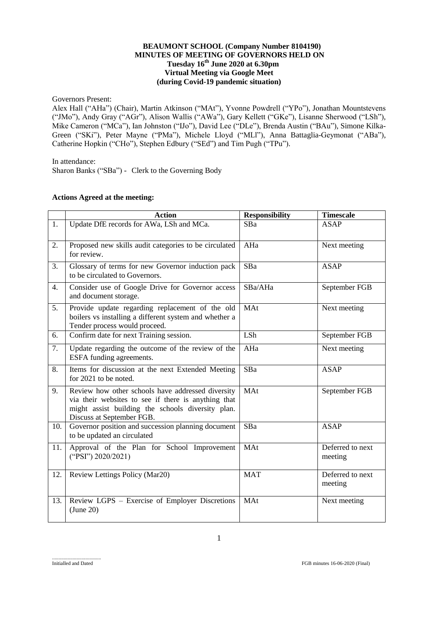### **BEAUMONT SCHOOL (Company Number 8104190) MINUTES OF MEETING OF GOVERNORS HELD ON Tuesday 16 th June 2020 at 6.30pm Virtual Meeting via Google Meet (during Covid-19 pandemic situation)**

Governors Present:

Alex Hall ("AHa") (Chair), Martin Atkinson ("MAt"), Yvonne Powdrell ("YPo"), Jonathan Mountstevens ("JMo"), Andy Gray ("AGr"), Alison Wallis ("AWa"), Gary Kellett ("GKe"), Lisanne Sherwood ("LSh"), Mike Cameron ("MCa"), Ian Johnston ("IJo"), David Lee ("DLe"), Brenda Austin ("BAu"), Simone Kilka-Green ("SKi"), Peter Mayne ("PMa"), Michele Lloyd ("MLl"), Anna Battaglia-Geymonat ("ABa"), Catherine Hopkin ("CHo"), Stephen Edbury ("SEd") and Tim Pugh ("TPu").

In attendance:

Sharon Banks ("SBa") - Clerk to the Governing Body

## **Actions Agreed at the meeting:**

|                  | <b>Action</b>                                                                                                                                                                              | <b>Responsibility</b> | <b>Timescale</b>            |
|------------------|--------------------------------------------------------------------------------------------------------------------------------------------------------------------------------------------|-----------------------|-----------------------------|
| 1.               | Update DfE records for AWa, LSh and MCa.                                                                                                                                                   | SBa                   | <b>ASAP</b>                 |
| 2.               | Proposed new skills audit categories to be circulated<br>for review.                                                                                                                       | AHa                   | Next meeting                |
| 3.               | Glossary of terms for new Governor induction pack<br>to be circulated to Governors.                                                                                                        | SBa                   | <b>ASAP</b>                 |
| $\overline{4}$ . | Consider use of Google Drive for Governor access<br>and document storage.                                                                                                                  | SBa/AHa               | September FGB               |
| 5.               | Provide update regarding replacement of the old<br>boilers vs installing a different system and whether a<br>Tender process would proceed.                                                 | MAt                   | Next meeting                |
| 6.               | Confirm date for next Training session.                                                                                                                                                    | LSh                   | September FGB               |
| 7.               | Update regarding the outcome of the review of the<br>ESFA funding agreements.                                                                                                              | AHa                   | Next meeting                |
| 8.               | Items for discussion at the next Extended Meeting<br>for 2021 to be noted.                                                                                                                 | SBa                   | <b>ASAP</b>                 |
| 9.               | Review how other schools have addressed diversity<br>via their websites to see if there is anything that<br>might assist building the schools diversity plan.<br>Discuss at September FGB. | MAt                   | September FGB               |
| 10.              | Governor position and succession planning document<br>to be updated an circulated                                                                                                          | SBa                   | <b>ASAP</b>                 |
| 11.              | Approval of the Plan for School Improvement<br>("PSI") 2020/2021)                                                                                                                          | MAt                   | Deferred to next<br>meeting |
| 12.              | Review Lettings Policy (Mar20)                                                                                                                                                             | <b>MAT</b>            | Deferred to next<br>meeting |
| 13.              | Review LGPS - Exercise of Employer Discretions<br>(June 20)                                                                                                                                | MAt                   | Next meeting                |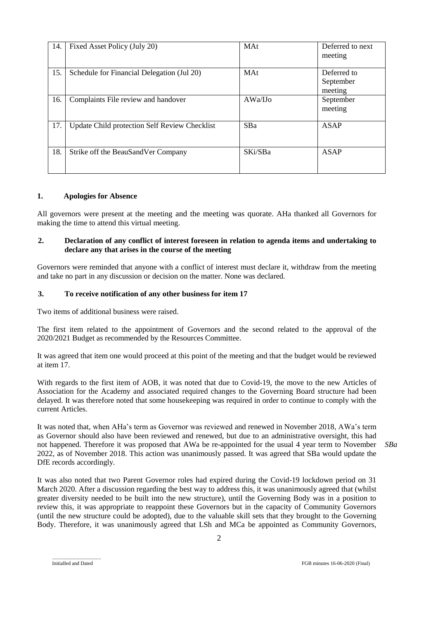| 14. | Fixed Asset Policy (July 20)                         | <b>MAt</b> | Deferred to next<br>meeting         |
|-----|------------------------------------------------------|------------|-------------------------------------|
| 15. | Schedule for Financial Delegation (Jul 20)           | <b>MAt</b> | Deferred to<br>September<br>meeting |
| 16. | Complaints File review and handover                  | AWa/IJo    | September<br>meeting                |
| 17. | <b>Update Child protection Self Review Checklist</b> | <b>SBa</b> | <b>ASAP</b>                         |
| 18. | Strike off the BeauSandVer Company                   | SKi/SBa    | <b>ASAP</b>                         |

#### **1. Apologies for Absence**

All governors were present at the meeting and the meeting was quorate. AHa thanked all Governors for making the time to attend this virtual meeting.

### **2. Declaration of any conflict of interest foreseen in relation to agenda items and undertaking to declare any that arises in the course of the meeting**

Governors were reminded that anyone with a conflict of interest must declare it, withdraw from the meeting and take no part in any discussion or decision on the matter. None was declared.

### **3. To receive notification of any other business for item 17**

Two items of additional business were raised.

The first item related to the appointment of Governors and the second related to the approval of the 2020/2021 Budget as recommended by the Resources Committee.

It was agreed that item one would proceed at this point of the meeting and that the budget would be reviewed at item 17.

With regards to the first item of AOB, it was noted that due to Covid-19, the move to the new Articles of Association for the Academy and associated required changes to the Governing Board structure had been delayed. It was therefore noted that some housekeeping was required in order to continue to comply with the current Articles.

It was noted that, when AHa's term as Governor was reviewed and renewed in November 2018, AWa's term as Governor should also have been reviewed and renewed, but due to an administrative oversight, this had not happened. Therefore it was proposed that AWa be re-appointed for the usual 4 year term to November 2022, as of November 2018. This action was unanimously passed. It was agreed that SBa would update the DfE records accordingly.

*SBa*

It was also noted that two Parent Governor roles had expired during the Covid-19 lockdown period on 31 March 2020. After a discussion regarding the best way to address this, it was unanimously agreed that (whilst greater diversity needed to be built into the new structure), until the Governing Body was in a position to review this, it was appropriate to reappoint these Governors but in the capacity of Community Governors (until the new structure could be adopted), due to the valuable skill sets that they brought to the Governing Body. Therefore, it was unanimously agreed that LSh and MCa be appointed as Community Governors,

Initialled and Dated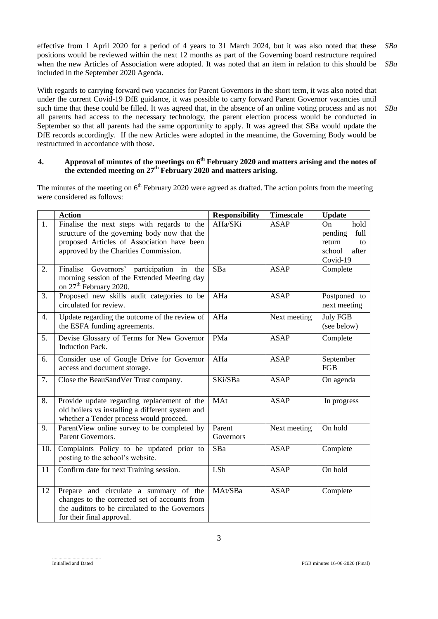effective from 1 April 2020 for a period of 4 years to 31 March 2024, but it was also noted that these positions would be reviewed within the next 12 months as part of the Governing board restructure required when the new Articles of Association were adopted. It was noted that an item in relation to this should be included in the September 2020 Agenda. *SBa SBa*

With regards to carrying forward two vacancies for Parent Governors in the short term, it was also noted that under the current Covid-19 DfE guidance, it was possible to carry forward Parent Governor vacancies until such time that these could be filled. It was agreed that, in the absence of an online voting process and as not all parents had access to the necessary technology, the parent election process would be conducted in September so that all parents had the same opportunity to apply. It was agreed that SBa would update the DfE records accordingly. If the new Articles were adopted in the meantime, the Governing Body would be restructured in accordance with those.

## **4. Approval of minutes of the meetings on 6 th February 2020 and matters arising and the notes of the extended meeting on 27th February 2020 and matters arising.**

The minutes of the meeting on  $6<sup>th</sup>$  February 2020 were agreed as drafted. The action points from the meeting were considered as follows:

|                  | <b>Action</b>                                                                                                                                                                      | <b>Responsibility</b> | <b>Timescale</b> | <b>Update</b>                                                                |
|------------------|------------------------------------------------------------------------------------------------------------------------------------------------------------------------------------|-----------------------|------------------|------------------------------------------------------------------------------|
| 1.               | Finalise the next steps with regards to the<br>structure of the governing body now that the<br>proposed Articles of Association have been<br>approved by the Charities Commission. | AHa/SKi               | <b>ASAP</b>      | hold<br>On<br>pending<br>full<br>return<br>to<br>after<br>school<br>Covid-19 |
| 2.               | Finalise Governors' participation in<br>the<br>morning session of the Extended Meeting day<br>on 27 <sup>th</sup> February 2020.                                                   | SBa                   | <b>ASAP</b>      | Complete                                                                     |
| 3.               | Proposed new skills audit categories to be<br>circulated for review.                                                                                                               | AHa                   | <b>ASAP</b>      | Postponed to<br>next meeting                                                 |
| $\overline{4}$ . | Update regarding the outcome of the review of<br>the ESFA funding agreements.                                                                                                      | AHa                   | Next meeting     | <b>July FGB</b><br>(see below)                                               |
| 5.               | Devise Glossary of Terms for New Governor<br><b>Induction Pack.</b>                                                                                                                | PMa                   | <b>ASAP</b>      | Complete                                                                     |
| 6.               | Consider use of Google Drive for Governor<br>access and document storage.                                                                                                          | AHa                   | <b>ASAP</b>      | September<br>FGB                                                             |
| 7.               | Close the BeauSandVer Trust company.                                                                                                                                               | SKi/SBa               | <b>ASAP</b>      | On agenda                                                                    |
| 8.               | Provide update regarding replacement of the<br>old boilers vs installing a different system and<br>whether a Tender process would proceed.                                         | MAt                   | <b>ASAP</b>      | In progress                                                                  |
| 9.               | ParentView online survey to be completed by<br>Parent Governors.                                                                                                                   | Parent<br>Governors   | Next meeting     | On hold                                                                      |
| 10.              | Complaints Policy to be updated prior to<br>posting to the school's website.                                                                                                       | SBa                   | <b>ASAP</b>      | Complete                                                                     |
| 11               | Confirm date for next Training session.                                                                                                                                            | LSh                   | <b>ASAP</b>      | On hold                                                                      |
| 12               | Prepare and circulate a summary of the<br>changes to the corrected set of accounts from<br>the auditors to be circulated to the Governors<br>for their final approval.             | MAt/SBa               | <b>ASAP</b>      | Complete                                                                     |

*SBa*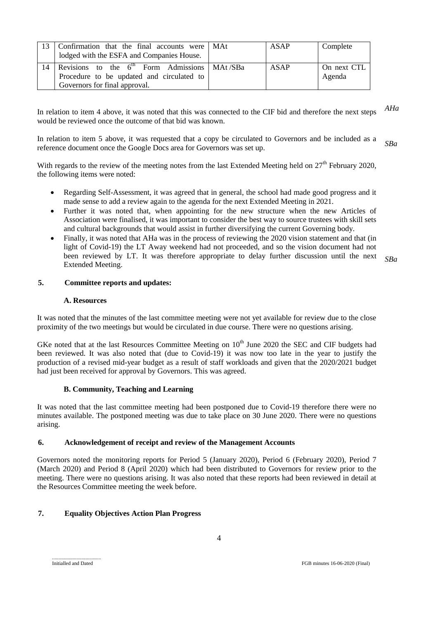| -13 | Confirmation that the final accounts were   MAt<br>lodged with the ESFA and Companies House.                                   | ASAP        | Complete              |
|-----|--------------------------------------------------------------------------------------------------------------------------------|-------------|-----------------------|
| 14  | Revisions to the $6th$ Form Admissions   MAt/SBa<br>Procedure to be updated and circulated to<br>Governors for final approval. | <b>ASAP</b> | On next CTL<br>Agenda |

In relation to item 4 above, it was noted that this was connected to the CIF bid and therefore the next steps would be reviewed once the outcome of that bid was known. *AHa*

In relation to item 5 above, it was requested that a copy be circulated to Governors and be included as a reference document once the Google Docs area for Governors was set up. *SBa*

With regards to the review of the meeting notes from the last Extended Meeting held on  $27<sup>th</sup>$  February 2020, the following items were noted:

- Regarding Self-Assessment, it was agreed that in general, the school had made good progress and it made sense to add a review again to the agenda for the next Extended Meeting in 2021.
- Further it was noted that, when appointing for the new structure when the new Articles of Association were finalised, it was important to consider the best way to source trustees with skill sets and cultural backgrounds that would assist in further diversifying the current Governing body.
- Finally, it was noted that AHa was in the process of reviewing the 2020 vision statement and that (in light of Covid-19) the LT Away weekend had not proceeded, and so the vision document had not been reviewed by LT. It was therefore appropriate to delay further discussion until the next Extended Meeting.

#### *SBa*

#### **5. Committee reports and updates:**

#### **A. Resources**

It was noted that the minutes of the last committee meeting were not yet available for review due to the close proximity of the two meetings but would be circulated in due course. There were no questions arising.

GKe noted that at the last Resources Committee Meeting on  $10<sup>th</sup>$  June 2020 the SEC and CIF budgets had been reviewed. It was also noted that (due to Covid-19) it was now too late in the year to justify the production of a revised mid-year budget as a result of staff workloads and given that the 2020/2021 budget had just been received for approval by Governors. This was agreed.

#### **B. Community, Teaching and Learning**

It was noted that the last committee meeting had been postponed due to Covid-19 therefore there were no minutes available. The postponed meeting was due to take place on 30 June 2020. There were no questions arising.

#### **6. Acknowledgement of receipt and review of the Management Accounts**

Governors noted the monitoring reports for Period 5 (January 2020), Period 6 (February 2020), Period 7 (March 2020) and Period 8 (April 2020) which had been distributed to Governors for review prior to the meeting. There were no questions arising. It was also noted that these reports had been reviewed in detail at the Resources Committee meeting the week before.

## **7. Equality Objectives Action Plan Progress**

......................................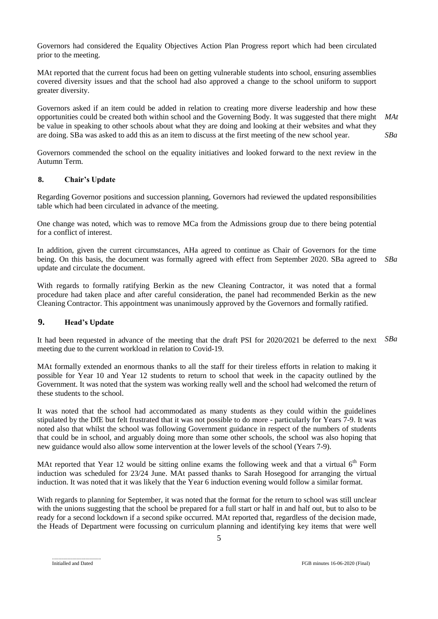Governors had considered the Equality Objectives Action Plan Progress report which had been circulated prior to the meeting.

MAt reported that the current focus had been on getting vulnerable students into school, ensuring assemblies covered diversity issues and that the school had also approved a change to the school uniform to support greater diversity.

Governors asked if an item could be added in relation to creating more diverse leadership and how these opportunities could be created both within school and the Governing Body. It was suggested that there might be value in speaking to other schools about what they are doing and looking at their websites and what they are doing. SBa was asked to add this as an item to discuss at the first meeting of the new school year. *MAt SBa*

Governors commended the school on the equality initiatives and looked forward to the next review in the Autumn Term.

## **8. Chair's Update**

Regarding Governor positions and succession planning, Governors had reviewed the updated responsibilities table which had been circulated in advance of the meeting.

One change was noted, which was to remove MCa from the Admissions group due to there being potential for a conflict of interest.

In addition, given the current circumstances, AHa agreed to continue as Chair of Governors for the time being. On this basis, the document was formally agreed with effect from September 2020. SBa agreed to update and circulate the document. *SBa*

With regards to formally ratifying Berkin as the new Cleaning Contractor, it was noted that a formal procedure had taken place and after careful consideration, the panel had recommended Berkin as the new Cleaning Contractor. This appointment was unanimously approved by the Governors and formally ratified.

## **9. Head's Update**

It had been requested in advance of the meeting that the draft PSI for 2020/2021 be deferred to the next meeting due to the current workload in relation to Covid-19. *SBa*

MAt formally extended an enormous thanks to all the staff for their tireless efforts in relation to making it possible for Year 10 and Year 12 students to return to school that week in the capacity outlined by the Government. It was noted that the system was working really well and the school had welcomed the return of these students to the school.

It was noted that the school had accommodated as many students as they could within the guidelines stipulated by the DfE but felt frustrated that it was not possible to do more - particularly for Years 7-9. It was noted also that whilst the school was following Government guidance in respect of the numbers of students that could be in school, and arguably doing more than some other schools, the school was also hoping that new guidance would also allow some intervention at the lower levels of the school (Years 7-9).

MAt reported that Year 12 would be sitting online exams the following week and that a virtual  $6<sup>th</sup>$  Form induction was scheduled for 23/24 June. MAt passed thanks to Sarah Hosegood for arranging the virtual induction. It was noted that it was likely that the Year 6 induction evening would follow a similar format.

With regards to planning for September, it was noted that the format for the return to school was still unclear with the unions suggesting that the school be prepared for a full start or half in and half out, but to also to be ready for a second lockdown if a second spike occurred. MAt reported that, regardless of the decision made, the Heads of Department were focussing on curriculum planning and identifying key items that were well

5

<sup>......................................</sup>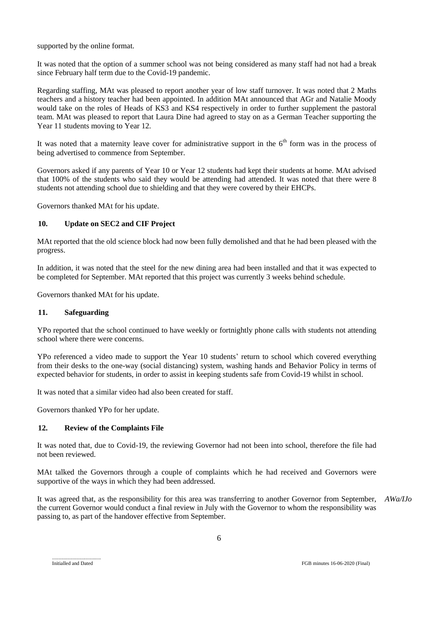supported by the online format.

It was noted that the option of a summer school was not being considered as many staff had not had a break since February half term due to the Covid-19 pandemic.

Regarding staffing, MAt was pleased to report another year of low staff turnover. It was noted that 2 Maths teachers and a history teacher had been appointed. In addition MAt announced that AGr and Natalie Moody would take on the roles of Heads of KS3 and KS4 respectively in order to further supplement the pastoral team. MAt was pleased to report that Laura Dine had agreed to stay on as a German Teacher supporting the Year 11 students moving to Year 12.

It was noted that a maternity leave cover for administrative support in the  $6<sup>th</sup>$  form was in the process of being advertised to commence from September.

Governors asked if any parents of Year 10 or Year 12 students had kept their students at home. MAt advised that 100% of the students who said they would be attending had attended. It was noted that there were 8 students not attending school due to shielding and that they were covered by their EHCPs.

Governors thanked MAt for his update.

### **10. Update on SEC2 and CIF Project**

MAt reported that the old science block had now been fully demolished and that he had been pleased with the progress.

In addition, it was noted that the steel for the new dining area had been installed and that it was expected to be completed for September. MAt reported that this project was currently 3 weeks behind schedule.

Governors thanked MAt for his update.

## **11. Safeguarding**

YPo reported that the school continued to have weekly or fortnightly phone calls with students not attending school where there were concerns.

YPo referenced a video made to support the Year 10 students' return to school which covered everything from their desks to the one-way (social distancing) system, washing hands and Behavior Policy in terms of expected behavior for students, in order to assist in keeping students safe from Covid-19 whilst in school.

It was noted that a similar video had also been created for staff.

Governors thanked YPo for her update.

#### **12. Review of the Complaints File**

It was noted that, due to Covid-19, the reviewing Governor had not been into school, therefore the file had not been reviewed.

MAt talked the Governors through a couple of complaints which he had received and Governors were supportive of the ways in which they had been addressed.

It was agreed that, as the responsibility for this area was transferring to another Governor from September, the current Governor would conduct a final review in July with the Governor to whom the responsibility was passing to, as part of the handover effective from September. *AWa/IJo*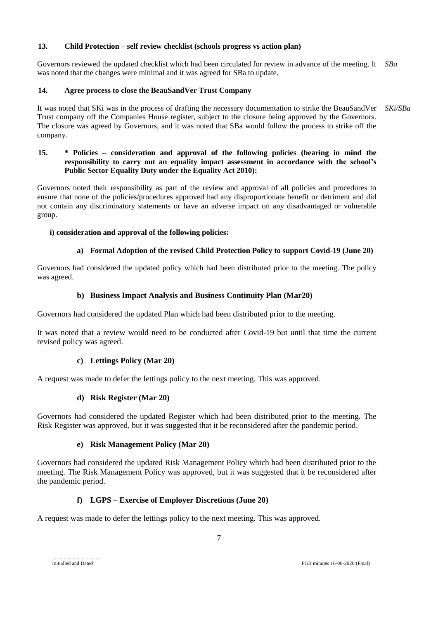## **13. Child Protection – self review checklist (schools progress vs action plan)**

Governors reviewed the updated checklist which had been circulated for review in advance of the meeting. It *SBa* was noted that the changes were minimal and it was agreed for SBa to update.

## **14. Agree process to close the BeauSandVer Trust Company**

It was noted that SKi was in the process of drafting the necessary documentation to strike the BeauSandVer Trust company off the Companies House register, subject to the closure being approved by the Governors. The closure was agreed by Governors, and it was noted that SBa would follow the process to strike off the company. *SKi/SBa*

## **15. \* Policies – consideration and approval of the following policies (bearing in mind the responsibility to carry out an equality impact assessment in accordance with the school's Public Sector Equality Duty under the Equality Act 2010):**

Governors noted their responsibility as part of the review and approval of all policies and procedures to ensure that none of the policies/procedures approved had any disproportionate benefit or detriment and did not contain any discriminatory statements or have an adverse impact on any disadvantaged or vulnerable group.

## **i) consideration and approval of the following policies:**

## **a) Formal Adoption of the revised Child Protection Policy to support Covid-19 (June 20)**

Governors had considered the updated policy which had been distributed prior to the meeting. The policy was agreed.

## **b) Business Impact Analysis and Business Continuity Plan (Mar20)**

Governors had considered the updated Plan which had been distributed prior to the meeting.

It was noted that a review would need to be conducted after Covid-19 but until that time the current revised policy was agreed.

## **c) Lettings Policy (Mar 20)**

A request was made to defer the lettings policy to the next meeting. This was approved.

## **d) Risk Register (Mar 20)**

Governors had considered the updated Register which had been distributed prior to the meeting. The Risk Register was approved, but it was suggested that it be reconsidered after the pandemic period.

## **e) Risk Management Policy (Mar 20)**

Governors had considered the updated Risk Management Policy which had been distributed prior to the meeting. The Risk Management Policy was approved, but it was suggested that it be reconsidered after the pandemic period.

## **f) LGPS – Exercise of Employer Discretions (June 20)**

A request was made to defer the lettings policy to the next meeting. This was approved.